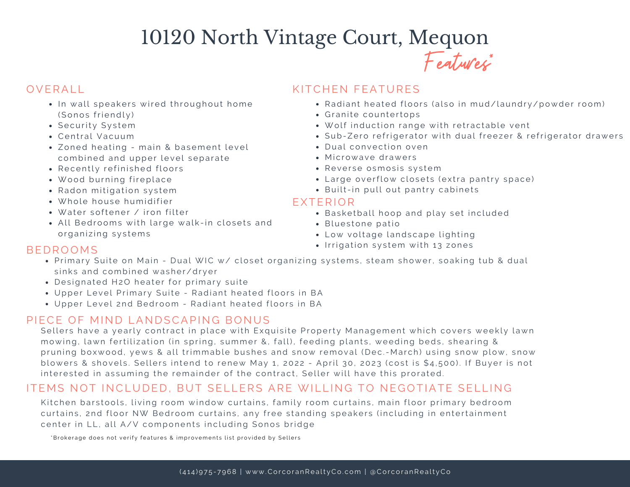# 10120 North Vintage Court, Mequon Features \*

- $\bullet$  In wall speakers wired throughout home (Sonos friendly)
- Security System
- Central Vacuum
- Zoned heating main & basement level combined and upper level separate
- Recently refinished floors
- Wood burning fireplace
- Radon mitigation system
- . Whole house humidifier
- Water softener / iron filter
- All Bedrooms with large walk-in closets and organizing systems

# OVERALL **CONTROLL CONTROLLER CONTROLLER CONTROLLER KITCHEN FEATURES**

- Radiant heated floors (also in mud/laundry/powder room)
- Granite countertops
- . Wolf induction range with retractable vent
- Sub-Zero refrigerator with dual freezer & refrigerator drawers
- Dual convection oven
- Microwaye drawers
- Reverse osmosis system
- Large overflow closets (extra pantry space)
- Built-in pull out pantry cabinets

## EXTERIOR

- **Basketball hoop and play set included**
- Bluestone patio
- Low voltage landscape lighting
- BEDROOMS SERVICES SERVICES SERVICES AND SERVICES SERVICES SERVICES SERVICES SERVICES SERVICES SERVICES SERVICES

- Primary Suite on Main Dual WIC w/ closet organizing systems, steam shower, soaking tub & dual sinks and combined washer/dryer
- Designated H2O heater for primary suite
- Upper Level Primary Suite Radiant heated floors in BA
- Upper Level 2nd Bedroom Radiant heated floors in BA

## PIECE OF MIND LANDSCAPING BONUS

Sellers have a yearly contract in place with Exquisite Property Management which covers weekly lawn mowing, lawn fertilization (in spring, summer &, fall), feeding plants, weeding beds, shearing & pruning boxwood, yews & all trimmable bushes and snow removal (Dec.-March) using snow plow, snow blowers & shovels. Sellers intend to renew May 1, 2022 - April 30, 2023 (cost is \$4,500). If Buyer is not interested in assuming the remainder of the contract, Seller will have this prorated.

# ITEMS NOT INCLUDED. BUT SELLERS ARE WILLING TO NEGOTIATE SELLING

Kitchen barstools, living room window curtains, family room curtains, main floor primary bedroom curtains, 2nd floor NW Bedroom curtains, any free standing speakers (including in entertainment center in LL, all A/V components including Sonos bridge

\*Brokerage does not verify features & improvements list provided by Sellers